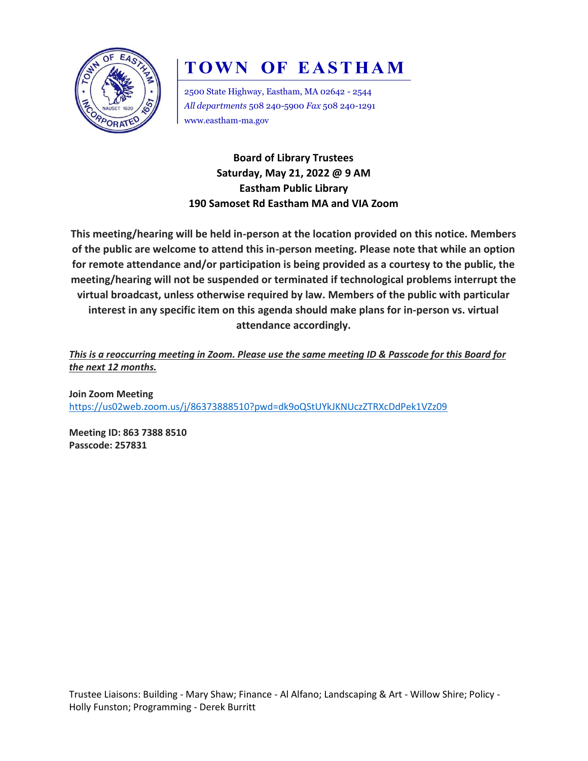

# **TOWN OF EASTHAM**

2500 State Highway, Eastham, MA 02642 - 2544 *All departments* 508 240-5900 *Fax* 508 240-1291 www.eastham-ma.gov

**Board of Library Trustees Saturday, May 21, 2022 @ 9 AM Eastham Public Library 190 Samoset Rd Eastham MA and VIA Zoom**

**This meeting/hearing will be held in-person at the location provided on this notice. Members of the public are welcome to attend this in-person meeting. Please note that while an option for remote attendance and/or participation is being provided as a courtesy to the public, the meeting/hearing will not be suspended or terminated if technological problems interrupt the virtual broadcast, unless otherwise required by law. Members of the public with particular interest in any specific item on this agenda should make plans for in-person vs. virtual attendance accordingly.**

*This is a reoccurring meeting in Zoom. Please use the same meeting ID & Passcode for this Board for the next 12 months.*

**Join Zoom Meeting** <https://us02web.zoom.us/j/86373888510?pwd=dk9oQStUYkJKNUczZTRXcDdPek1VZz09>

**Meeting ID: 863 7388 8510 Passcode: 257831**